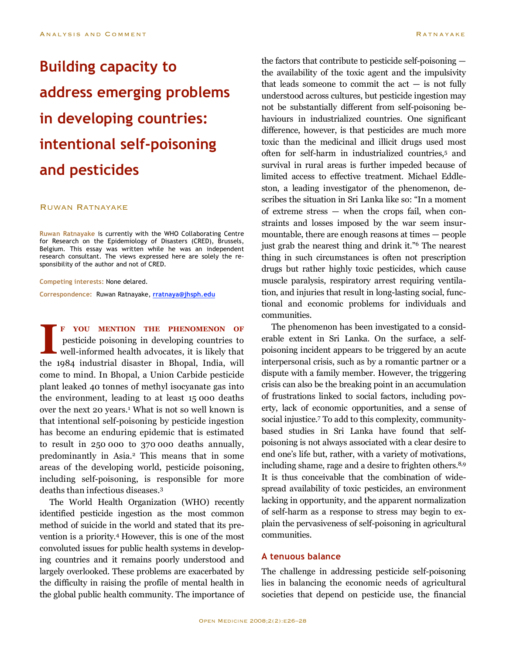# **Building capacity to address emerging problems in developing countries: intentional self-poisoning and pesticides**

## Ruwan Ratnayake

**Ruwan Ratnayake** is currently with the WHO Collaborating Centre for Research on the Epidemiology of Disasters (CRED), Brussels, Belgium. This essay was written while he was an independent research consultant. The views expressed here are solely the responsibility of the author and not of CRED.

#### **Competing interests:** None delared.

**Correspondence:** Ruwan Ratnayake, **rratnaya@jhsph.edu**

**F YOU MENTION THE PHENOMENON OF** pesticide poisoning in developing countries to well-informed health advocates, it is likely that the 1984 industrial disaster in Bhopal, India, will come to mind. In Bhopal, a Union Carbide pesticide plant leaked 40 tonnes of methyl isocyanate gas into the environment, leading to at least 15 000 deaths over the next 20 years. <sup>1</sup> What is not so well known is that intentional self-poisoning by pesticide ingestion has become an enduring epidemic that is estimated to result in 250 000 to 370 000 deaths annually, predominantly in Asia. <sup>2</sup> This means that in some areas of the developing world, pesticide poisoning, including self-poisoning, is responsible for more deaths than infectious diseases. 3 **I**

The World Health Organization (WHO) recently identified pesticide ingestion as the most common method of suicide in the world and stated that its prevention is a priority. <sup>4</sup> However, this is one of the most convoluted issues for public health systems in developing countries and it remains poorly understood and largely overlooked. These problems are exacerbated by the difficulty in raising the profile of mental health in the global public health community. The importance of the factors that contribute to pesticide self-poisoning the availability of the toxic agent and the impulsivity that leads someone to commit the  $act - is not fully$ understood across cultures, but pesticide ingestion may not be substantially different from self-poisoning behaviours in industrialized countries. One significant difference, however, is that pesticides are much more toxic than the medicinal and illicit drugs used most often for self-harm in industrialized countries, <sup>5</sup> and survival in rural areas is further impeded because of limited access to effective treatment. Michael Eddleston, a leading investigator of the phenomenon, describes the situation in Sri Lanka like so: "In a moment of extreme stress — when the crops fail, when constraints and losses imposed by the war seem insurmountable, there are enough reasons at times — people just grab the nearest thing and drink it."6 The nearest thing in such circumstances is often not prescription drugs but rather highly toxic pesticides, which cause muscle paralysis, respiratory arrest requiring ventilation, and injuries that result in long-lasting social, functional and economic problems for individuals and communities.

The phenomenon has been investigated to a considerable extent in Sri Lanka. On the surface, a selfpoisoning incident appears to be triggered by an acute interpersonal crisis, such as by a romantic partner or a dispute with a family member. However, the triggering crisis can also be the breaking point in an accumulation of frustrations linked to social factors, including poverty, lack of economic opportunities, and a sense of social injustice. <sup>7</sup> To add to this complexity, communitybased studies in Sri Lanka have found that selfpoisoning is not always associated with a clear desire to end one's life but, rather, with a variety of motivations, including shame, rage and a desire to frighten others. 8,9 It is thus conceivable that the combination of widespread availability of toxic pesticides, an environment lacking in opportunity, and the apparent normalization of self-harm as a response to stress may begin to explain the pervasiveness of self-poisoning in agricultural communities.

## **A tenuous balance**

The challenge in addressing pesticide self-poisoning lies in balancing the economic needs of agricultural societies that depend on pesticide use, the financial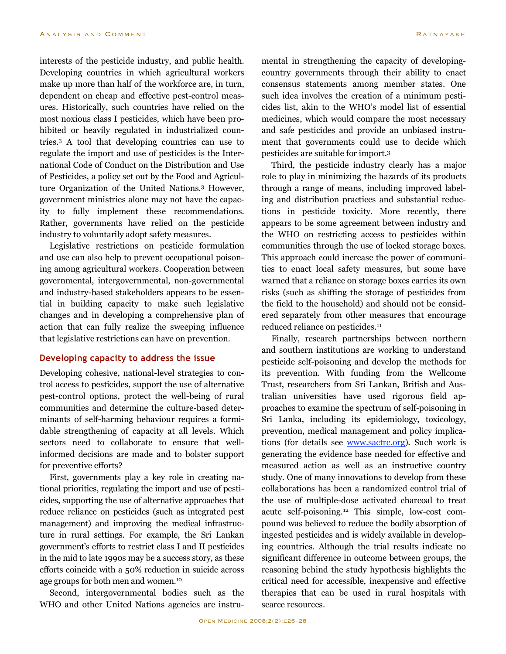interests of the pesticide industry, and public health. Developing countries in which agricultural workers make up more than half of the workforce are, in turn, dependent on cheap and effective pest-control measures. Historically, such countries have relied on the most noxious class I pesticides, which have been prohibited or heavily regulated in industrialized countries. <sup>3</sup> A tool that developing countries can use to regulate the import and use of pesticides is the International Code of Conduct on the Distribution and Use of Pesticides, a policy set out by the Food and Agriculture Organization of the United Nations. <sup>3</sup> However, government ministries alone may not have the capacity to fully implement these recommendations. Rather, governments have relied on the pesticide industry to voluntarily adopt safety measures.

Legislative restrictions on pesticide formulation and use can also help to prevent occupational poisoning among agricultural workers. Cooperation between governmental, intergovernmental, non-governmental and industry-based stakeholders appears to be essential in building capacity to make such legislative changes and in developing a comprehensive plan of action that can fully realize the sweeping influence that legislative restrictions can have on prevention.

## **Developing capacity to address the issue**

Developing cohesive, national-level strategies to control access to pesticides, support the use of alternative pest-control options, protect the well-being of rural communities and determine the culture-based determinants of self-harming behaviour requires a formidable strengthening of capacity at all levels. Which sectors need to collaborate to ensure that wellinformed decisions are made and to bolster support for preventive efforts?

First, governments play a key role in creating national priorities, regulating the import and use of pesticides, supporting the use of alternative approaches that reduce reliance on pesticides (such as integrated pest management) and improving the medical infrastructure in rural settings. For example, the Sri Lankan government's efforts to restrict class I and II pesticides in the mid to late 1990s may be a success story, as these efforts coincide with a 50% reduction in suicide across age groups for both men and women. 10

Second, intergovernmental bodies such as the WHO and other United Nations agencies are instrumental in strengthening the capacity of developingcountry governments through their ability to enact consensus statements among member states. One such idea involves the creation of a minimum pesticides list, akin to the WHO's model list of essential medicines, which would compare the most necessary and safe pesticides and provide an unbiased instrument that governments could use to decide which pesticides are suitable for import. 3

Third, the pesticide industry clearly has a major role to play in minimizing the hazards of its products through a range of means, including improved labeling and distribution practices and substantial reductions in pesticide toxicity. More recently, there appears to be some agreement between industry and the WHO on restricting access to pesticides within communities through the use of locked storage boxes. This approach could increase the power of communities to enact local safety measures, but some have warned that a reliance on storage boxes carries its own risks (such as shifting the storage of pesticides from the field to the household) and should not be considered separately from other measures that encourage reduced reliance on pesticides. 11

Finally, research partnerships between northern and southern institutions are working to understand pesticide self-poisoning and develop the methods for its prevention. With funding from the Wellcome Trust, researchers from Sri Lankan, British and Australian universities have used rigorous field approaches to examine the spectrum of self-poisoning in Sri Lanka, including its epidemiology, toxicology, prevention, medical management and policy implications (for details see www.sactrc.org). Such work is generating the evidence base needed for effective and measured action as well as an instructive country study. One of many innovations to develop from these collaborations has been a randomized control trial of the use of multiple-dose activated charcoal to treat acute self-poisoning. <sup>12</sup> This simple, low-cost compound was believed to reduce the bodily absorption of ingested pesticides and is widely available in developing countries. Although the trial results indicate no significant difference in outcome between groups, the reasoning behind the study hypothesis highlights the critical need for accessible, inexpensive and effective therapies that can be used in rural hospitals with scarce resources.